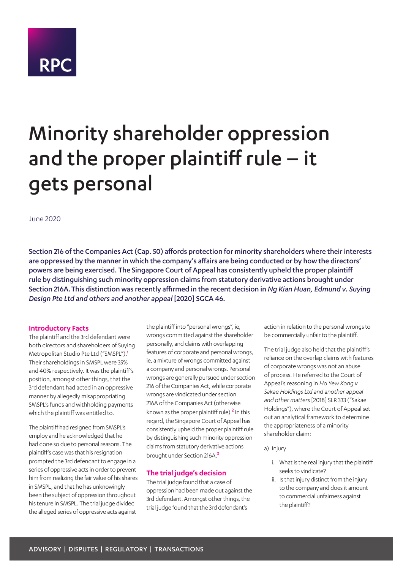

# Minority shareholder oppression and the proper plaintiff rule – it gets personal

June 2020

Section 216 of the Companies Act (Cap. 50) affords protection for minority shareholders where their interests are oppressed by the manner in which the company's affairs are being conducted or by how the directors' powers are being exercised. The Singapore Court of Appeal has consistently upheld the proper plaintiff rule by distinguishing such minority oppression claims from statutory derivative actions brought under Section 216A.This distinction was recently affirmed in the recent decision in *Ng Kian Huan, Edmund v. Suying Design Pte Ltd and others and another appeal* [2020] SGCA 46.

#### **Introductory Facts**

The plaintiff and the 3rd defendant were both directors and shareholders of Suying Metropolitan Studio Pte Ltd ("SMSPL").<sup>1</sup> Their shareholdings in SMSPL were 35% and 40% respectively. It was the plaintiff's position, amongst other things, that the 3rd defendant had acted in an oppressive manner by allegedly misappropriating SMSPL's funds and withholding payments which the plaintiff was entitled to.

The plaintiff had resigned from SMSPL's employ and he acknowledged that he had done so due to personal reasons. The plaintiff's case was that his resignation prompted the 3rd defendant to engage in a series of oppressive acts in order to prevent him from realizing the fair value of his shares in SMSPL, and that he has unknowingly been the subject of oppression throughout his tenure in SMSPL. The trial judge divided the alleged series of oppressive acts against

the plaintiff into "personal wrongs", ie, wrongs committed against the shareholder personally, and claims with overlapping features of corporate and personal wrongs, ie, a mixture of wrongs committed against a company and personal wrongs. Personal wrongs are generally pursued under section 216 of the Companies Act, while corporate wrongs are vindicated under section 216A of the Companies Act (otherwise known as the proper plaintiff rule).<sup>2</sup> In this regard, the Singapore Court of Appeal has consistently upheld the proper plaintiff rule by distinguishing such minority oppression claims from statutory derivative actions brought under Section 216A.<sup>3</sup>

## **The trial judge's decision**

The trial judge found that a case of oppression had been made out against the 3rd defendant. Amongst other things, the trial judge found that the 3rd defendant's

action in relation to the personal wrongs to be commercially unfair to the plaintiff.

The trial judge also held that the plaintiff's reliance on the overlap claims with features of corporate wrongs was not an abuse of process. He referred to the Court of Appeal's reasoning in *Ho Yew Kong v Sakae Holdings Ltd and another appeal and other matters* [2018] SLR 333 ("Sakae Holdings"), where the Court of Appeal set out an analytical framework to determine the appropriateness of a minority shareholder claim:

- a) Injury
	- i. What is the real injury that the plaintiff seeks to vindicate?
	- ii. Is that injury distinct from the injury to the company and does it amount to commercial unfairness against the plaintiff?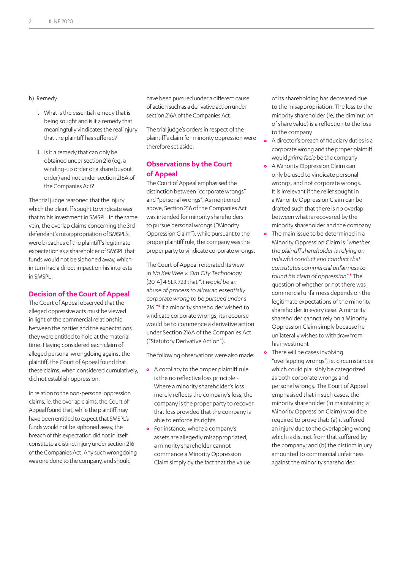b) Remedy

- i. What is the essential remedy that is being sought and is it a remedy that meaningfully vindicates the real injury that the plaintiff has suffered?
- ii. Is it a remedy that can only be obtained under section 216 (eg, a winding-up order or a share buyout order) and not under section 216A of the Companies Act?

The trial judge reasoned that the injury which the plaintiff sought to vindicate was that to his investment in SMSPL. In the same vein, the overlap claims concerning the 3rd defendant's misappropriation of SMSPL's were breaches of the plaintiff's legitimate expectation as a shareholder of SMSPL that funds would not be siphoned away, which in turn had a direct impact on his interests in SMSPL.

#### **Decision of the Court of Appeal**

The Court of Appeal observed that the alleged oppressive acts must be viewed in light of the commercial relationship between the parties and the expectations they were entitled to hold at the material time. Having considered each claim of alleged personal wrongdoing against the plaintiff, the Court of Appeal found that these claims, when considered cumulatively, did not establish oppression.

In relation to the non-personal oppression claims, ie, the overlap claims, the Court of Appeal found that, while the plaintiff may have been entitled to expect that SMSPL's funds would not be siphoned away, the breach of this expectation did not in itself constitute a distinct injury under section 216 of the Companies Act. Any such wrongdoing was one done to the company, and should

have been pursued under a different cause of action such as a derivative action under section 216A of the Companies Act.

The trial judge's orders in respect of the plaintiff's claim for minority oppression were therefore set aside.

# **Observations by the Court of Appeal**

The Court of Appeal emphasised the distinction between "corporate wrongs" and "personal wrongs". As mentioned above, Section 216 of the Companies Act was intended for minority shareholders to pursue personal wrongs ("Minority Oppression Claim"), while pursuant to the proper plaintiff rule, the company was the proper party to vindicate corporate wrongs.

The Court of Appeal reiterated its view in *Ng Kek Wee v. Sim City Technology*  [2014] 4 SLR 723 that "*it would be an abuse of process to allow an essentially corporate wrong to be pursued under s 216.*"<sup>4</sup> If a minority shareholder wished to vindicate corporate wrongs, its recourse would be to commence a derivative action under Section 216A of the Companies Act ("Statutory Derivative Action").

The following observations were also made:

- **•** A corollary to the proper plaintiff rule is the no reflective loss principle - Where a minority shareholder's loss merely reflects the company's loss, the company is the proper party to recover that loss provided that the company is able to enforce its rights
- **•** For instance, where a company's assets are allegedly misappropriated, a minority shareholder cannot commence a Minority Oppression Claim simply by the fact that the value

of its shareholding has decreased due to the misappropriation. The loss to the minority shareholder (ie, the diminution of share value) is a reflection to the loss to the company

- **•** A director's breach of fiduciary duties is a corporate wrong and the proper plaintiff would *prima facie* be the company
- **•** A Minority Oppression Claim can only be used to vindicate personal wrongs, and not corporate wrongs. It is irrelevant if the relief sought in a Minority Oppression Claim can be drafted such that there is no overlap between what is recovered by the minority shareholder and the company
- **•** The main issue to be determined in a Minority Oppression Claim is "*whether the plaintiff shareholder is relying on unlawful conduct and conduct that constitutes commercial unfairness to found his claim of oppression*".<sup>5</sup> The question of whether or not there was commercial unfairness depends on the legitimate expectations of the minority shareholder in every case. A minority shareholder cannot rely on a Minority Oppression Claim simply because he unilaterally wishes to withdraw from his investment
- **•** There will be cases involving "overlapping wrongs", ie, circumstances which could plausibly be categorized as both corporate wrongs and personal wrongs. The Court of Appeal emphasised that in such cases, the minority shareholder (in maintaining a Minority Oppression Claim) would be required to prove that: (a) it suffered an injury due to the overlapping wrong which is distinct from that suffered by the company; and (b) the distinct injury amounted to commercial unfairness against the minority shareholder.